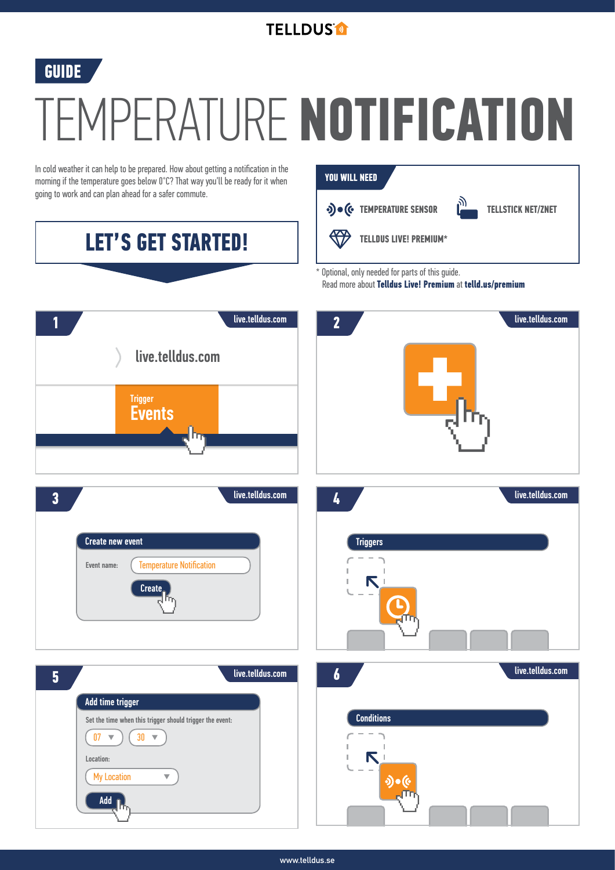## **TELLDUS<sup>®</sup>**

## **GUIDE**

## TEMPERATURE **NOTIFICATION**

**YOU WILL NEED**

In cold weather it can help to be prepared. How about getting a notification in the morning if the temperature goes below 0°C? That way you'll be ready for it when going to work and can plan ahead for a safer commute.